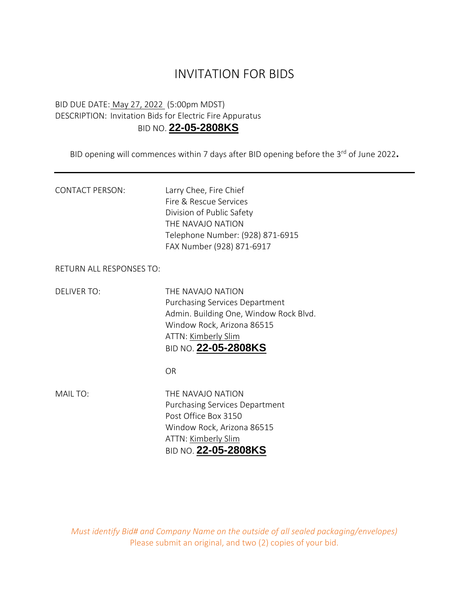## INVITATION FOR BIDS

## BID DUE DATE: May 27, 2022 (5:00pm MDST) DESCRIPTION: Invitation Bids for Electric Fire Appuratus BID NO. **22-05-2808KS**

BID opening will commences within 7 days after BID opening before the 3<sup>rd</sup> of June 2022.

| <b>CONTACT PERSON:</b> | Larry Chee, Fire Chief           |
|------------------------|----------------------------------|
|                        | Fire & Rescue Services           |
|                        | Division of Public Safety        |
|                        | THE NAVAIO NATION                |
|                        | Telephone Number: (928) 871-6915 |
|                        | FAX Number (928) 871-6917        |
|                        |                                  |

RETURN ALL RESPONSES TO:

DELIVER TO: THE NAVAJO NATION Purchasing Services Department Admin. Building One, Window Rock Blvd. Window Rock, Arizona 86515 ATTN: Kimberly Slim BID NO. **22-05-2808KS**

OR

MAIL TO: THE NAVAJO NATION Purchasing Services Department Post Office Box 3150 Window Rock, Arizona 86515 ATTN: Kimberly Slim BID NO. **22-05-2808KS**

*Must identify Bid# and Company Name on the outside of all sealed packaging/envelopes)* Please submit an original, and two (2) copies of your bid.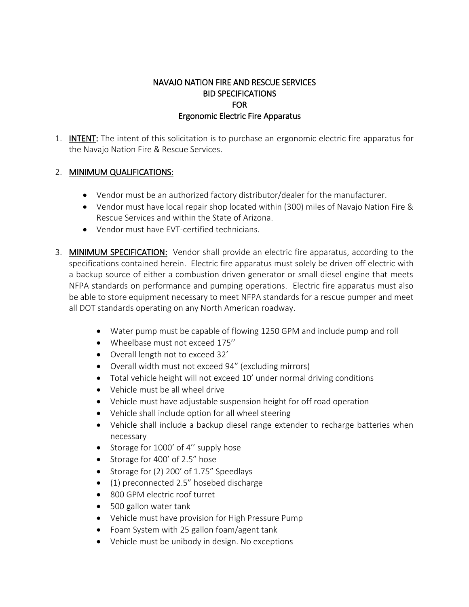## NAVAJO NATION FIRE AND RESCUE SERVICES BID SPECIFICATIONS FOR Ergonomic Electric Fire Apparatus

1. INTENT: The intent of this solicitation is to purchase an ergonomic electric fire apparatus for the Navajo Nation Fire & Rescue Services.

## 2. MINIMUM QUALIFICATIONS:

- Vendor must be an authorized factory distributor/dealer for the manufacturer.
- Vendor must have local repair shop located within (300) miles of Navajo Nation Fire & Rescue Services and within the State of Arizona.
- Vendor must have EVT-certified technicians.
- 3. MINIMUM SPECIFICATION: Vendor shall provide an electric fire apparatus, according to the specifications contained herein. Electric fire apparatus must solely be driven off electric with a backup source of either a combustion driven generator or small diesel engine that meets NFPA standards on performance and pumping operations. Electric fire apparatus must also be able to store equipment necessary to meet NFPA standards for a rescue pumper and meet all DOT standards operating on any North American roadway.
	- Water pump must be capable of flowing 1250 GPM and include pump and roll
	- Wheelbase must not exceed 175''
	- Overall length not to exceed 32'
	- Overall width must not exceed 94" (excluding mirrors)
	- Total vehicle height will not exceed 10' under normal driving conditions
	- Vehicle must be all wheel drive
	- Vehicle must have adjustable suspension height for off road operation
	- Vehicle shall include option for all wheel steering
	- Vehicle shall include a backup diesel range extender to recharge batteries when necessary
	- Storage for 1000' of 4" supply hose
	- Storage for 400' of 2.5" hose
	- Storage for (2) 200' of 1.75" Speedlays
	- (1) preconnected 2.5" hosebed discharge
	- 800 GPM electric roof turret
	- 500 gallon water tank
	- Vehicle must have provision for High Pressure Pump
	- Foam System with 25 gallon foam/agent tank
	- Vehicle must be unibody in design. No exceptions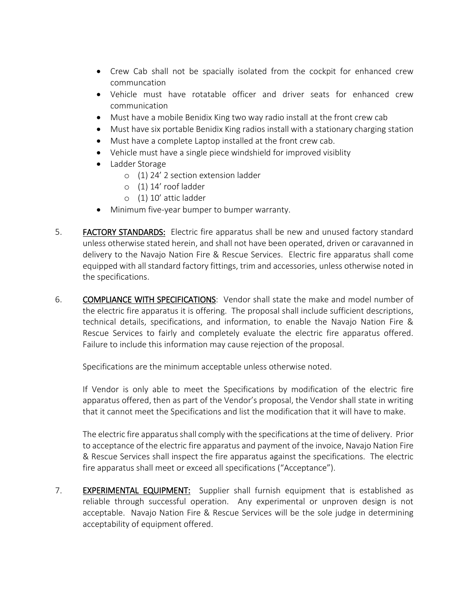- Crew Cab shall not be spacially isolated from the cockpit for enhanced crew communcation
- Vehicle must have rotatable officer and driver seats for enhanced crew communication
- Must have a mobile Benidix King two way radio install at the front crew cab
- Must have six portable Benidix King radios install with a stationary charging station
- Must have a complete Laptop installed at the front crew cab.
- Vehicle must have a single piece windshield for improved visiblity
- Ladder Storage
	- o (1) 24' 2 section extension ladder
	- o (1) 14' roof ladder
	- o (1) 10' attic ladder
- Minimum five-year bumper to bumper warranty.
- 5. FACTORY STANDARDS: Electric fire apparatus shall be new and unused factory standard unless otherwise stated herein, and shall not have been operated, driven or caravanned in delivery to the Navajo Nation Fire & Rescue Services. Electric fire apparatus shall come equipped with all standard factory fittings, trim and accessories, unless otherwise noted in the specifications.
- 6. COMPLIANCE WITH SPECIFICATIONS: Vendor shall state the make and model number of the electric fire apparatus it is offering. The proposal shall include sufficient descriptions, technical details, specifications, and information, to enable the Navajo Nation Fire & Rescue Services to fairly and completely evaluate the electric fire apparatus offered. Failure to include this information may cause rejection of the proposal.

Specifications are the minimum acceptable unless otherwise noted.

If Vendor is only able to meet the Specifications by modification of the electric fire apparatus offered, then as part of the Vendor's proposal, the Vendor shall state in writing that it cannot meet the Specifications and list the modification that it will have to make.

The electric fire apparatus shall comply with the specifications at the time of delivery. Prior to acceptance of the electric fire apparatus and payment of the invoice, Navajo Nation Fire & Rescue Services shall inspect the fire apparatus against the specifications. The electric fire apparatus shall meet or exceed all specifications ("Acceptance").

7. EXPERIMENTAL EQUIPMENT: Supplier shall furnish equipment that is established as reliable through successful operation. Any experimental or unproven design is not acceptable. Navajo Nation Fire & Rescue Services will be the sole judge in determining acceptability of equipment offered.